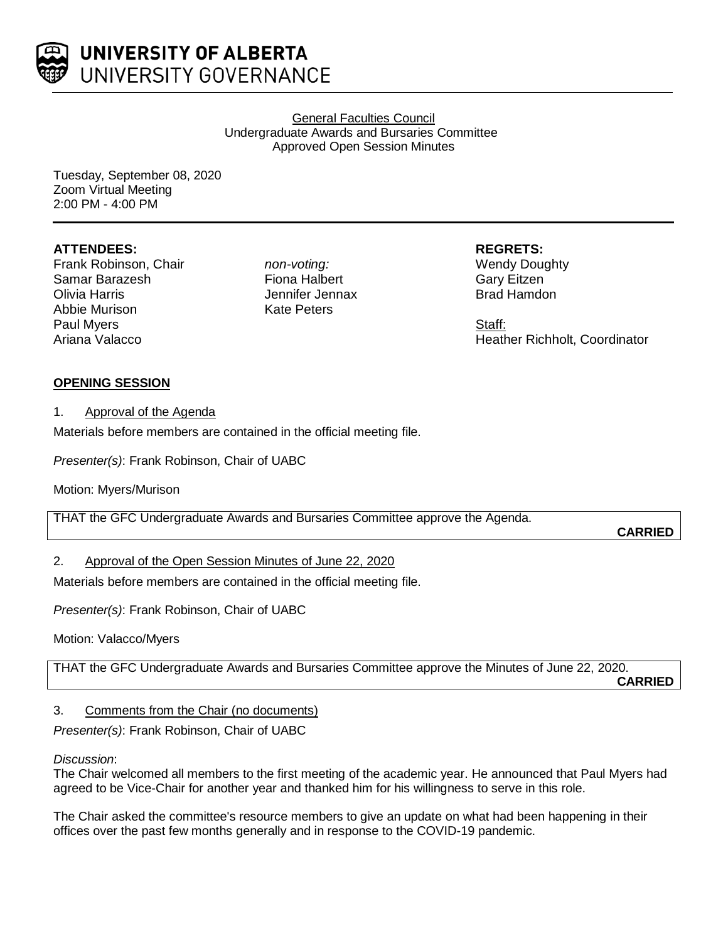

General Faculties Council Undergraduate Awards and Bursaries Committee Approved Open Session Minutes

Tuesday, September 08, 2020 Zoom Virtual Meeting 2:00 PM - 4:00 PM

### **ATTENDEES:**

Frank Robinson, Chair Samar Barazesh Olivia Harris Abbie Murison Paul Myers Ariana Valacco

*non-voting:* Fiona Halbert Jennifer Jennax Kate Peters

**REGRETS:** Wendy Doughty Gary Eitzen

Brad Hamdon

Staff: Heather Richholt, Coordinator

### **OPENING SESSION**

#### 1. Approval of the Agenda

Materials before members are contained in the official meeting file.

*Presenter(s)*: Frank Robinson, Chair of UABC

Motion: Myers/Murison

THAT the GFC Undergraduate Awards and Bursaries Committee approve the Agenda.

**CARRIED**

# 2. Approval of the Open Session Minutes of June 22, 2020

Materials before members are contained in the official meeting file.

*Presenter(s)*: Frank Robinson, Chair of UABC

Motion: Valacco/Myers

THAT the GFC Undergraduate Awards and Bursaries Committee approve the Minutes of June 22, 2020.

**CARRIED**

#### 3. Comments from the Chair (no documents)

*Presenter(s)*: Frank Robinson, Chair of UABC

#### *Discussion*:

The Chair welcomed all members to the first meeting of the academic year. He announced that Paul Myers had agreed to be Vice-Chair for another year and thanked him for his willingness to serve in this role.

The Chair asked the committee's resource members to give an update on what had been happening in their offices over the past few months generally and in response to the COVID-19 pandemic.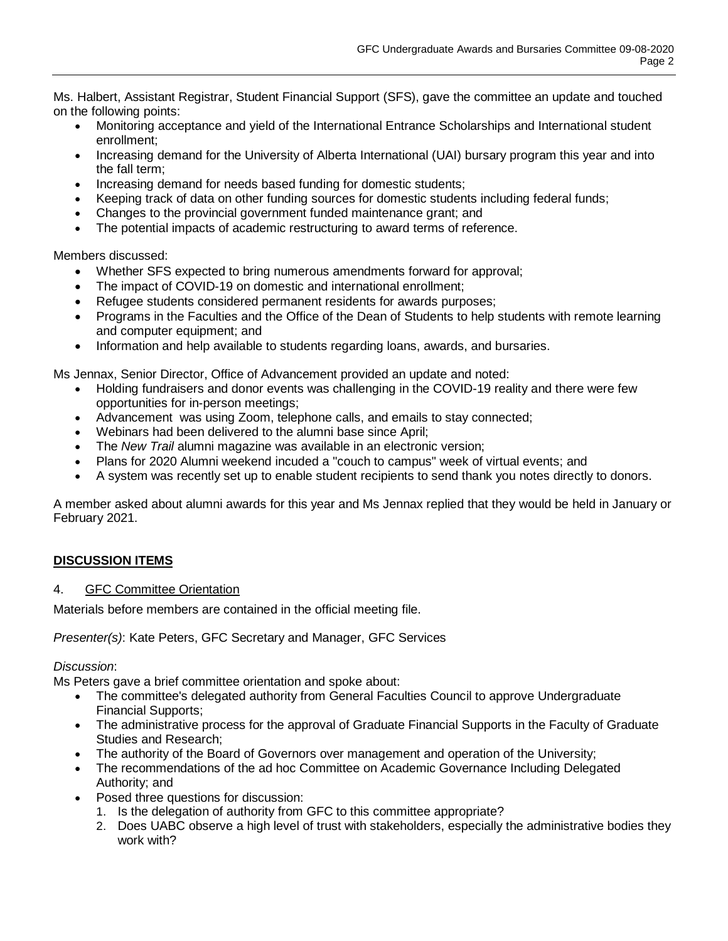Ms. Halbert, Assistant Registrar, Student Financial Support (SFS), gave the committee an update and touched on the following points:

- Monitoring acceptance and yield of the International Entrance Scholarships and International student enrollment;
- Increasing demand for the University of Alberta International (UAI) bursary program this year and into the fall term;
- Increasing demand for needs based funding for domestic students;
- Keeping track of data on other funding sources for domestic students including federal funds;
- Changes to the provincial government funded maintenance grant; and
- The potential impacts of academic restructuring to award terms of reference.

Members discussed:

- Whether SFS expected to bring numerous amendments forward for approval;
- The impact of COVID-19 on domestic and international enrollment;
- Refugee students considered permanent residents for awards purposes;
- Programs in the Faculties and the Office of the Dean of Students to help students with remote learning and computer equipment; and
- Information and help available to students regarding loans, awards, and bursaries.

Ms Jennax, Senior Director, Office of Advancement provided an update and noted:

- Holding fundraisers and donor events was challenging in the COVID-19 reality and there were few opportunities for in-person meetings;
- Advancement was using Zoom, telephone calls, and emails to stay connected;
- Webinars had been delivered to the alumni base since April;
- The *New Trail* alumni magazine was available in an electronic version;
- Plans for 2020 Alumni weekend incuded a "couch to campus" week of virtual events; and
- A system was recently set up to enable student recipients to send thank you notes directly to donors.

A member asked about alumni awards for this year and Ms Jennax replied that they would be held in January or February 2021.

# **DISCUSSION ITEMS**

#### 4. GFC Committee Orientation

Materials before members are contained in the official meeting file.

*Presenter(s)*: Kate Peters, GFC Secretary and Manager, GFC Services

*Discussion*:

Ms Peters gave a brief committee orientation and spoke about:

- The committee's delegated authority from General Faculties Council to approve Undergraduate Financial Supports;
- The administrative process for the approval of Graduate Financial Supports in the Faculty of Graduate Studies and Research;
- The authority of the Board of Governors over management and operation of the University;
- The recommendations of the ad hoc Committee on Academic Governance Including Delegated Authority; and
- Posed three questions for discussion:
	- 1. Is the delegation of authority from GFC to this committee appropriate?
	- 2. Does UABC observe a high level of trust with stakeholders, especially the administrative bodies they work with?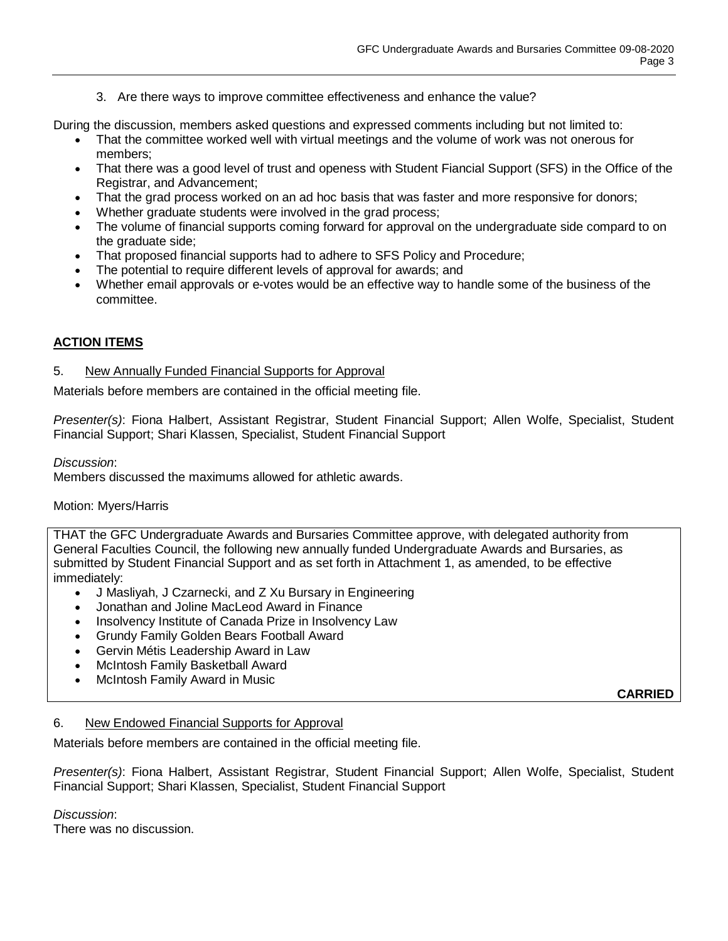3. Are there ways to improve committee effectiveness and enhance the value?

During the discussion, members asked questions and expressed comments including but not limited to:

- That the committee worked well with virtual meetings and the volume of work was not onerous for members;
- That there was a good level of trust and openess with Student Fiancial Support (SFS) in the Office of the Registrar, and Advancement;
- That the grad process worked on an ad hoc basis that was faster and more responsive for donors;
- Whether graduate students were involved in the grad process;
- The volume of financial supports coming forward for approval on the undergraduate side compard to on the graduate side;
- That proposed financial supports had to adhere to SFS Policy and Procedure;
- The potential to require different levels of approval for awards; and
- Whether email approvals or e-votes would be an effective way to handle some of the business of the committee.

# **ACTION ITEMS**

#### 5. New Annually Funded Financial Supports for Approval

Materials before members are contained in the official meeting file.

*Presenter(s)*: Fiona Halbert, Assistant Registrar, Student Financial Support; Allen Wolfe, Specialist, Student Financial Support; Shari Klassen, Specialist, Student Financial Support

*Discussion*:

Members discussed the maximums allowed for athletic awards.

#### Motion: Myers/Harris

THAT the GFC Undergraduate Awards and Bursaries Committee approve, with delegated authority from General Faculties Council, the following new annually funded Undergraduate Awards and Bursaries, as submitted by Student Financial Support and as set forth in Attachment 1, as amended, to be effective immediately:

- J Masliyah, J Czarnecki, and Z Xu Bursary in Engineering
- Jonathan and Joline MacLeod Award in Finance
- Insolvency Institute of Canada Prize in Insolvency Law
- Grundy Family Golden Bears Football Award
- Gervin Métis Leadership Award in Law
- McIntosh Family Basketball Award
- McIntosh Family Award in Music

**CARRIED**

#### 6. New Endowed Financial Supports for Approval

Materials before members are contained in the official meeting file.

*Presenter(s)*: Fiona Halbert, Assistant Registrar, Student Financial Support; Allen Wolfe, Specialist, Student Financial Support; Shari Klassen, Specialist, Student Financial Support

*Discussion*:

There was no discussion.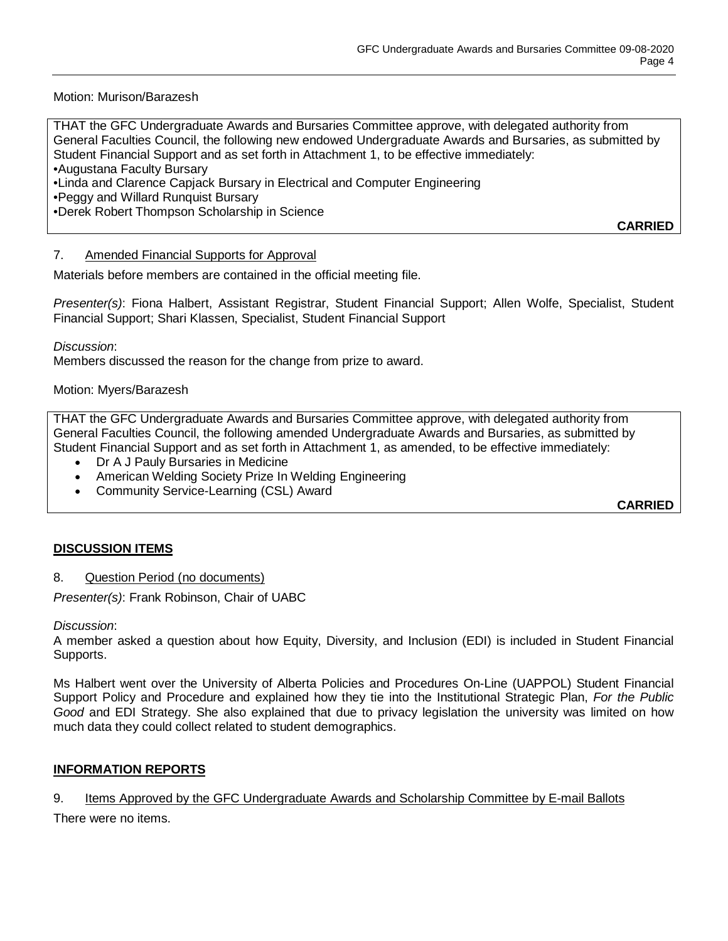Motion: Murison/Barazesh

THAT the GFC Undergraduate Awards and Bursaries Committee approve, with delegated authority from General Faculties Council, the following new endowed Undergraduate Awards and Bursaries, as submitted by Student Financial Support and as set forth in Attachment 1, to be effective immediately: •Augustana Faculty Bursary

•Linda and Clarence Capjack Bursary in Electrical and Computer Engineering

•Peggy and Willard Runquist Bursary

•Derek Robert Thompson Scholarship in Science

7. Amended Financial Supports for Approval

Materials before members are contained in the official meeting file.

*Presenter(s)*: Fiona Halbert, Assistant Registrar, Student Financial Support; Allen Wolfe, Specialist, Student Financial Support; Shari Klassen, Specialist, Student Financial Support

*Discussion*:

Members discussed the reason for the change from prize to award.

Motion: Myers/Barazesh

THAT the GFC Undergraduate Awards and Bursaries Committee approve, with delegated authority from General Faculties Council, the following amended Undergraduate Awards and Bursaries, as submitted by Student Financial Support and as set forth in Attachment 1, as amended, to be effective immediately:

- Dr A J Pauly Bursaries in Medicine
- American Welding Society Prize In Welding Engineering
- Community Service-Learning (CSL) Award

**CARRIED**

**CARRIED**

#### **DISCUSSION ITEMS**

8. Question Period (no documents)

*Presenter(s)*: Frank Robinson, Chair of UABC

*Discussion*:

A member asked a question about how Equity, Diversity, and Inclusion (EDI) is included in Student Financial Supports.

Ms Halbert went over the University of Alberta Policies and Procedures On-Line (UAPPOL) Student Financial Support Policy and Procedure and explained how they tie into the Institutional Strategic Plan, *For the Public Good* and EDI Strategy. She also explained that due to privacy legislation the university was limited on how much data they could collect related to student demographics.

# **INFORMATION REPORTS**

#### 9. Items Approved by the GFC Undergraduate Awards and Scholarship Committee by E-mail Ballots

There were no items.